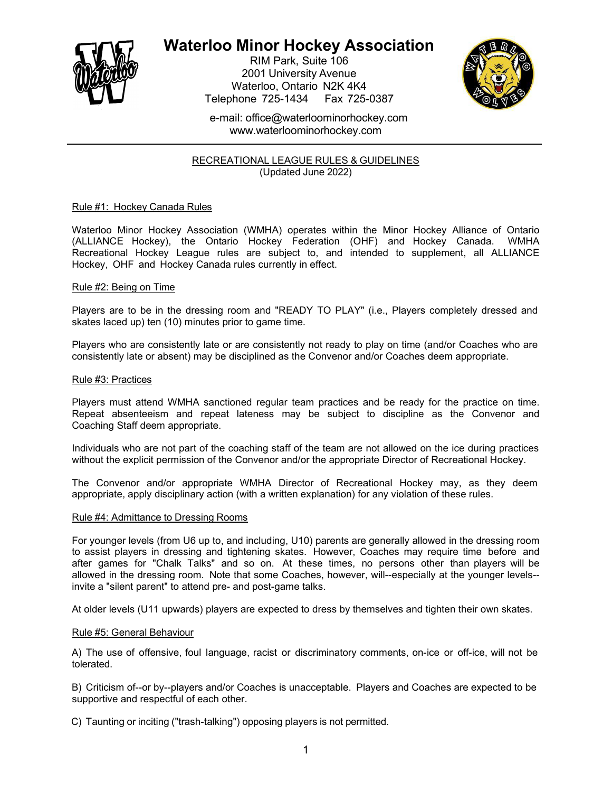

# **Waterloo Minor Hockey Association**

RIM Park, Suite 106 2001 University Avenue Waterloo, Ontario N2K 4K4 Telephone 725-1434 Fax 725-0387



e-mail: [office@waterloominorhockey.com](mailto:office@waterloominorhockey.com) [www.waterloominorhockey.com](http://www.waterloominorhockey.com/)

RECREATIONAL LEAGUE RULES & GUIDELINES (Updated June 2022)

# Rule #1: Hockey Canada Rules

Waterloo Minor Hockey Association (WMHA) operates within the Minor Hockey Alliance of Ontario (ALLIANCE Hockey), the Ontario Hockey Federation (OHF) and Hockey Canada. WMHA Recreational Hockey League rules are subject to, and intended to supplement, all ALLIANCE Hockey, OHF and Hockey Canada rules currently in effect.

# Rule #2: Being on Time

Players are to be in the dressing room and "READY TO PLAY" (i.e., Players completely dressed and skates laced up) ten (10) minutes prior to game time.

Players who are consistently late or are consistently not ready to play on time (and/or Coaches who are consistently late or absent) may be disciplined as the Convenor and/or Coaches deem appropriate.

## Rule #3: Practices

Players must attend WMHA sanctioned regular team practices and be ready for the practice on time. Repeat absenteeism and repeat lateness may be subject to discipline as the Convenor and Coaching Staff deem appropriate.

Individuals who are not part of the coaching staff of the team are not allowed on the ice during practices without the explicit permission of the Convenor and/or the appropriate Director of Recreational Hockey.

The Convenor and/or appropriate WMHA Director of Recreational Hockey may, as they deem appropriate, apply disciplinary action (with a written explanation) for any violation of these rules.

## Rule #4: Admittance to Dressing Rooms

For younger levels (from U6 up to, and including, U10) parents are generally allowed in the dressing room to assist players in dressing and tightening skates. However, Coaches may require time before and after games for "Chalk Talks" and so on. At these times, no persons other than players will be allowed in the dressing room. Note that some Coaches, however, will--especially at the younger levels- invite a "silent parent" to attend pre- and post-game talks.

At older levels (U11 upwards) players are expected to dress by themselves and tighten their own skates.

## Rule #5: General Behaviour

A) The use of offensive, foul language, racist or discriminatory comments, on-ice or off-ice, will not be tolerated.

B) Criticism of--or by--players and/or Coaches is unacceptable. Players and Coaches are expected to be supportive and respectful of each other.

C) Taunting or inciting ("trash-talking") opposing players is not permitted.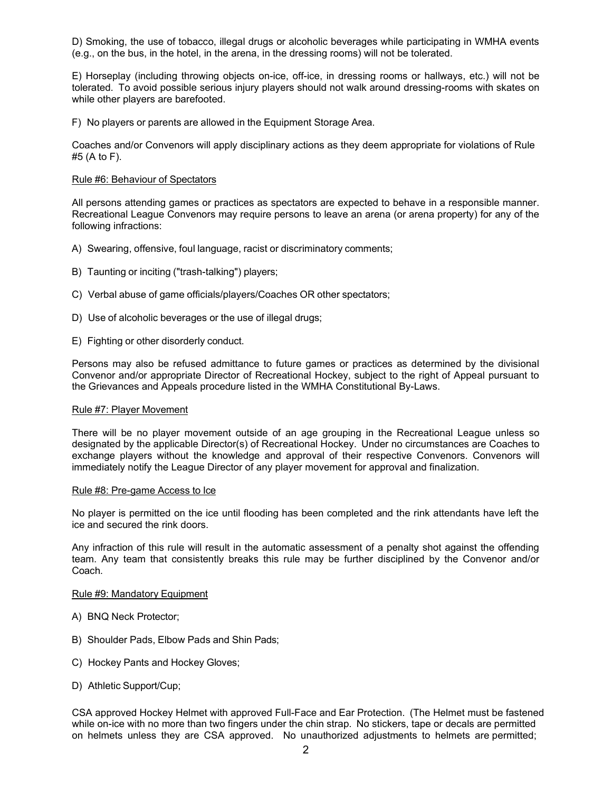D) Smoking, the use of tobacco, illegal drugs or alcoholic beverages while participating in WMHA events (e.g., on the bus, in the hotel, in the arena, in the dressing rooms) will not be tolerated.

E) Horseplay (including throwing objects on-ice, off-ice, in dressing rooms or hallways, etc.) will not be tolerated. To avoid possible serious injury players should not walk around dressing-rooms with skates on while other players are barefooted.

F) No players or parents are allowed in the Equipment Storage Area.

Coaches and/or Convenors will apply disciplinary actions as they deem appropriate for violations of Rule #5 (A to F).

#### Rule #6: Behaviour of Spectators

All persons attending games or practices as spectators are expected to behave in a responsible manner. Recreational League Convenors may require persons to leave an arena (or arena property) for any of the following infractions:

- A) Swearing, offensive, foul language, racist or discriminatory comments;
- B) Taunting or inciting ("trash-talking") players;
- C) Verbal abuse of game officials/players/Coaches OR other spectators;
- D) Use of alcoholic beverages or the use of illegal drugs;
- E) Fighting or other disorderly conduct.

Persons may also be refused admittance to future games or practices as determined by the divisional Convenor and/or appropriate Director of Recreational Hockey, subject to the right of Appeal pursuant to the Grievances and Appeals procedure listed in the WMHA Constitutional By-Laws.

#### Rule #7: Player Movement

There will be no player movement outside of an age grouping in the Recreational League unless so designated by the applicable Director(s) of Recreational Hockey. Under no circumstances are Coaches to exchange players without the knowledge and approval of their respective Convenors. Convenors will immediately notify the League Director of any player movement for approval and finalization.

#### Rule #8: Pre-game Access to Ice

No player is permitted on the ice until flooding has been completed and the rink attendants have left the ice and secured the rink doors.

Any infraction of this rule will result in the automatic assessment of a penalty shot against the offending team. Any team that consistently breaks this rule may be further disciplined by the Convenor and/or Coach.

#### Rule #9: Mandatory Equipment

- A) BNQ Neck Protector;
- B) Shoulder Pads, Elbow Pads and Shin Pads;
- C) Hockey Pants and Hockey Gloves;
- D) Athletic Support/Cup;

CSA approved Hockey Helmet with approved Full-Face and Ear Protection. (The Helmet must be fastened while on-ice with no more than two fingers under the chin strap. No stickers, tape or decals are permitted on helmets unless they are CSA approved. No unauthorized adjustments to helmets are permitted;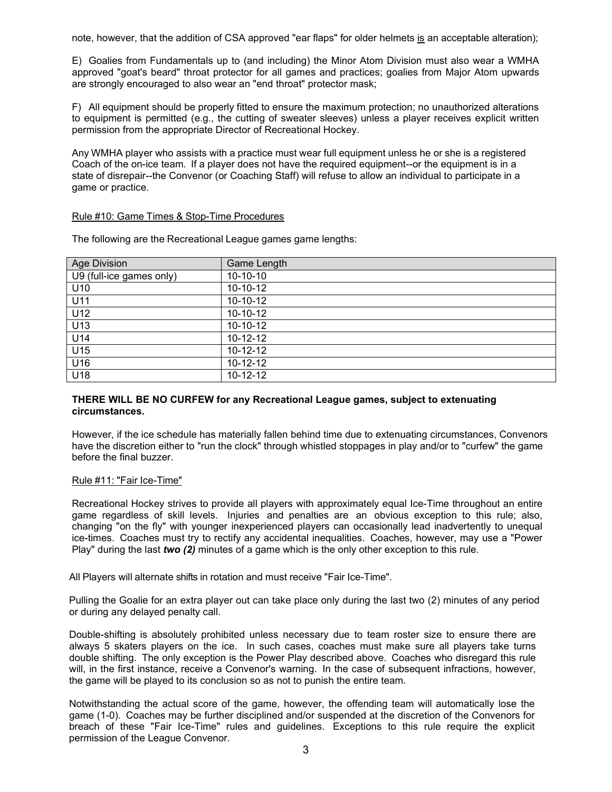note, however, that the addition of CSA approved "ear flaps" for older helmets is an acceptable alteration);

E) Goalies from Fundamentals up to (and including) the Minor Atom Division must also wear a WMHA approved "goat's beard" throat protector for all games and practices; goalies from Major Atom upwards are strongly encouraged to also wear an "end throat" protector mask;

F) All equipment should be properly fitted to ensure the maximum protection; no unauthorized alterations to equipment is permitted (e.g., the cutting of sweater sleeves) unless a player receives explicit written permission from the appropriate Director of Recreational Hockey.

Any WMHA player who assists with a practice must wear full equipment unless he or she is a registered Coach of the on-ice team. If a player does not have the required equipment--or the equipment is in a state of disrepair--the Convenor (or Coaching Staff) will refuse to allow an individual to participate in a game or practice.

# Rule #10: Game Times & Stop-Time Procedures

| Age Division             | <b>Game Length</b> |
|--------------------------|--------------------|
| U9 (full-ice games only) | $10-10-10$         |
| U10                      | $10-10-12$         |
| U11                      | $10-10-12$         |
| U12                      | $10-10-12$         |
| U13                      | $10-10-12$         |
| U14                      | $10 - 12 - 12$     |
| U15                      | $10-12-12$         |
| U16                      | $10-12-12$         |
| U18                      | $10 - 12 - 12$     |

The following are the Recreational League games game lengths:

# **THERE WILL BE NO CURFEW for any Recreational League games, subject to extenuating circumstances.**

However, if the ice schedule has materially fallen behind time due to extenuating circumstances, Convenors have the discretion either to "run the clock" through whistled stoppages in play and/or to "curfew" the game before the final buzzer.

## Rule #11: "Fair Ice-Time"

Recreational Hockey strives to provide all players with approximately equal Ice-Time throughout an entire game regardless of skill levels. Injuries and penalties are an obvious exception to this rule; also, changing "on the fly" with younger inexperienced players can occasionally lead inadvertently to unequal ice-times. Coaches must try to rectify any accidental inequalities. Coaches, however, may use a "Power Play" during the last *two (2)* minutes of a game which is the only other exception to this rule.

All Players will alternate shifts in rotation and must receive "Fair Ice-Time".

Pulling the Goalie for an extra player out can take place only during the last two (2) minutes of any period or during any delayed penalty call.

Double-shifting is absolutely prohibited unless necessary due to team roster size to ensure there are always 5 skaters players on the ice. In such cases, coaches must make sure all players take turns double shifting. The only exception is the Power Play described above. Coaches who disregard this rule will, in the first instance, receive a Convenor's warning. In the case of subsequent infractions, however, the game will be played to its conclusion so as not to punish the entire team.

Notwithstanding the actual score of the game, however, the offending team will automatically lose the game (1-0). Coaches may be further disciplined and/or suspended at the discretion of the Convenors for breach of these "Fair Ice-Time" rules and guidelines. Exceptions to this rule require the explicit permission of the League Convenor.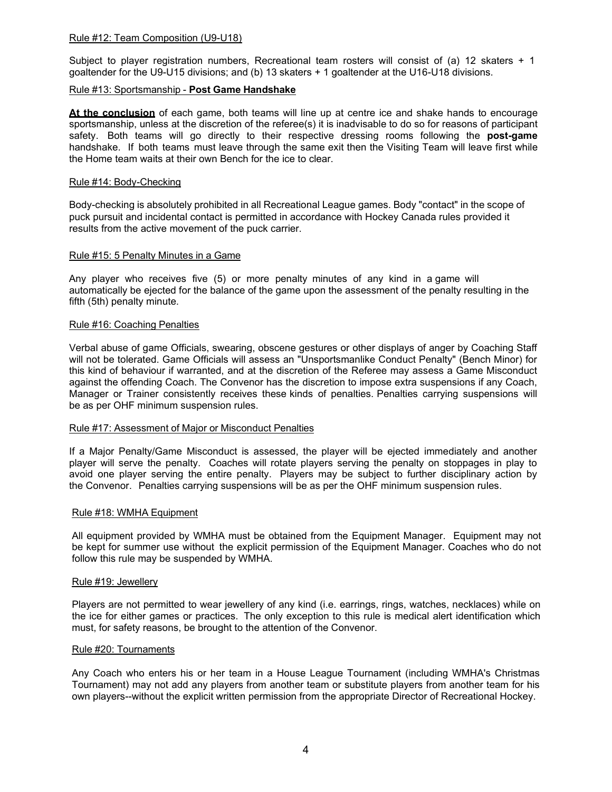## Rule #12: Team Composition (U9-U18)

Subject to player registration numbers, Recreational team rosters will consist of (a) 12 skaters + 1 goaltender for the U9-U15 divisions; and (b) 13 skaters + 1 goaltender at the U16-U18 divisions.

### Rule #13: Sportsmanship - **Post Game Handshake**

**At the conclusion** of each game, both teams will line up at centre ice and shake hands to encourage sportsmanship, unless at the discretion of the referee(s) it is inadvisable to do so for reasons of participant safety. Both teams will go directly to their respective dressing rooms following the **post-game** handshake. If both teams must leave through the same exit then the Visiting Team will leave first while the Home team waits at their own Bench for the ice to clear.

### Rule #14: Body-Checking

Body-checking is absolutely prohibited in all Recreational League games. Body "contact" in the scope of puck pursuit and incidental contact is permitted in accordance with Hockey Canada rules provided it results from the active movement of the puck carrier.

#### Rule #15: 5 Penalty Minutes in a Game

Any player who receives five (5) or more penalty minutes of any kind in a game will automatically be ejected for the balance of the game upon the assessment of the penalty resulting in the fifth (5th) penalty minute.

#### Rule #16: Coaching Penalties

Verbal abuse of game Officials, swearing, obscene gestures or other displays of anger by Coaching Staff will not be tolerated. Game Officials will assess an "Unsportsmanlike Conduct Penalty" (Bench Minor) for this kind of behaviour if warranted, and at the discretion of the Referee may assess a Game Misconduct against the offending Coach. The Convenor has the discretion to impose extra suspensions if any Coach, Manager or Trainer consistently receives these kinds of penalties. Penalties carrying suspensions will be as per OHF minimum suspension rules.

## Rule #17: Assessment of Major or Misconduct Penalties

If a Major Penalty/Game Misconduct is assessed, the player will be ejected immediately and another player will serve the penalty. Coaches will rotate players serving the penalty on stoppages in play to avoid one player serving the entire penalty. Players may be subject to further disciplinary action by the Convenor. Penalties carrying suspensions will be as per the OHF minimum suspension rules.

#### Rule #18: WMHA Equipment

All equipment provided by WMHA must be obtained from the Equipment Manager. Equipment may not be kept for summer use without the explicit permission of the Equipment Manager. Coaches who do not follow this rule may be suspended by WMHA.

#### Rule #19: Jewellery

Players are not permitted to wear jewellery of any kind (i.e. earrings, rings, watches, necklaces) while on the ice for either games or practices. The only exception to this rule is medical alert identification which must, for safety reasons, be brought to the attention of the Convenor.

#### Rule #20: Tournaments

Any Coach who enters his or her team in a House League Tournament (including WMHA's Christmas Tournament) may not add any players from another team or substitute players from another team for his own players--without the explicit written permission from the appropriate Director of Recreational Hockey.